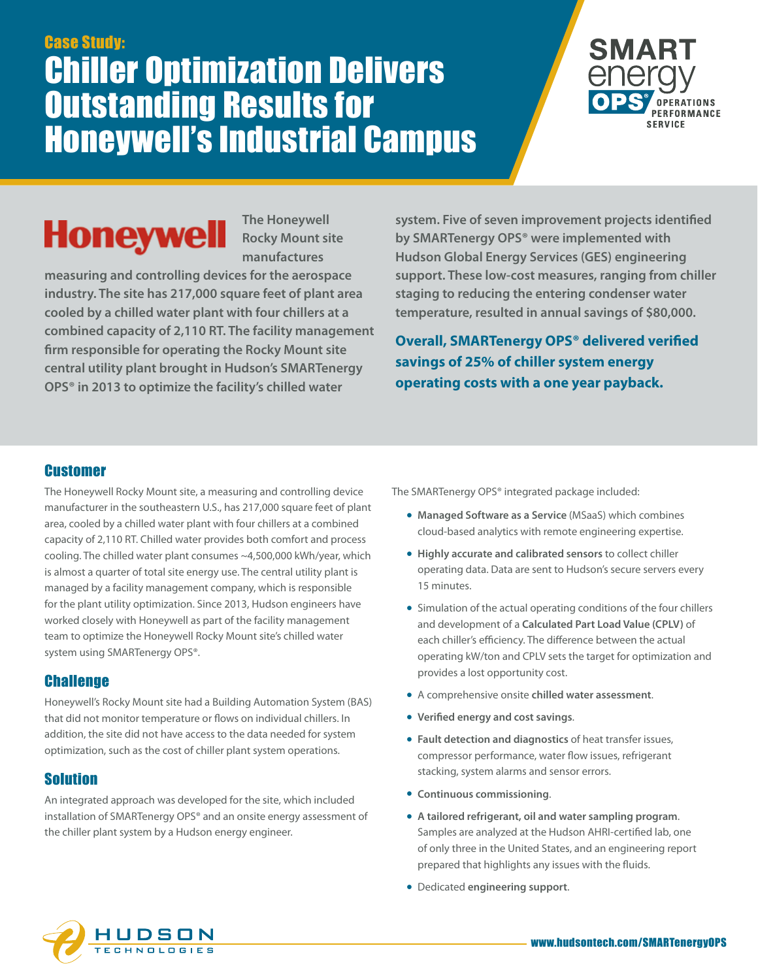## Case Study: Chiller Optimization Delivers Outstanding Results for Honeywell's Industrial Campus



# **Honeywell**

**The Honeywell Rocky Mount site manufactures** 

**measuring and controlling devices for the aerospace industry. The site has 217,000 square feet of plant area cooled by a chilled water plant with four chillers at a combined capacity of 2,110 RT. The facility management firm responsible for operating the Rocky Mount site central utility plant brought in Hudson's SMARTenergy OPS® in 2013 to optimize the facility's chilled water** 

**system. Five of seven improvement projects identified by SMARTenergy OPS® were implemented with Hudson Global Energy Services (GES) engineering support. These low-cost measures, ranging from chiller staging to reducing the entering condenser water temperature, resulted in annual savings of \$80,000.** 

**Overall, SMARTenergy OPS® delivered verified savings of 25% of chiller system energy operating costs with a one year payback.** 

#### **Customer**

The Honeywell Rocky Mount site, a measuring and controlling device manufacturer in the southeastern U.S., has 217,000 square feet of plant area, cooled by a chilled water plant with four chillers at a combined capacity of 2,110 RT. Chilled water provides both comfort and process cooling. The chilled water plant consumes ~4,500,000 kWh/year, which is almost a quarter of total site energy use. The central utility plant is managed by a facility management company, which is responsible for the plant utility optimization. Since 2013, Hudson engineers have worked closely with Honeywell as part of the facility management team to optimize the Honeywell Rocky Mount site's chilled water system using SMARTenergy OPS®.

### **Challenge**

Honeywell's Rocky Mount site had a Building Automation System (BAS) that did not monitor temperature or flows on individual chillers. In addition, the site did not have access to the data needed for system optimization, such as the cost of chiller plant system operations.

### Solution

An integrated approach was developed for the site, which included installation of SMARTenergy OPS® and an onsite energy assessment of the chiller plant system by a Hudson energy engineer.

The SMARTenergy OPS® integrated package included:

- **• Managed Software as a Service** (MSaaS) which combines cloud-based analytics with remote engineering expertise.
- **• Highly accurate and calibrated sensors** to collect chiller operating data. Data are sent to Hudson's secure servers every 15 minutes.
- **•** Simulation of the actual operating conditions of the four chillers and development of a **Calculated Part Load Value (CPLV)** of each chiller's efficiency. The difference between the actual operating kW/ton and CPLV sets the target for optimization and provides a lost opportunity cost.
- **•** A comprehensive onsite **chilled water assessment**.
- **• Verified energy and cost savings**.
- **• Fault detection and diagnostics** of heat transfer issues, compressor performance, water flow issues, refrigerant stacking, system alarms and sensor errors.
- **• Continuous commissioning**.
- **• A tailored refrigerant, oil and water sampling program**. Samples are analyzed at the Hudson AHRI-certified lab, one of only three in the United States, and an engineering report prepared that highlights any issues with the fluids.
- **•** Dedicated **engineering support**.